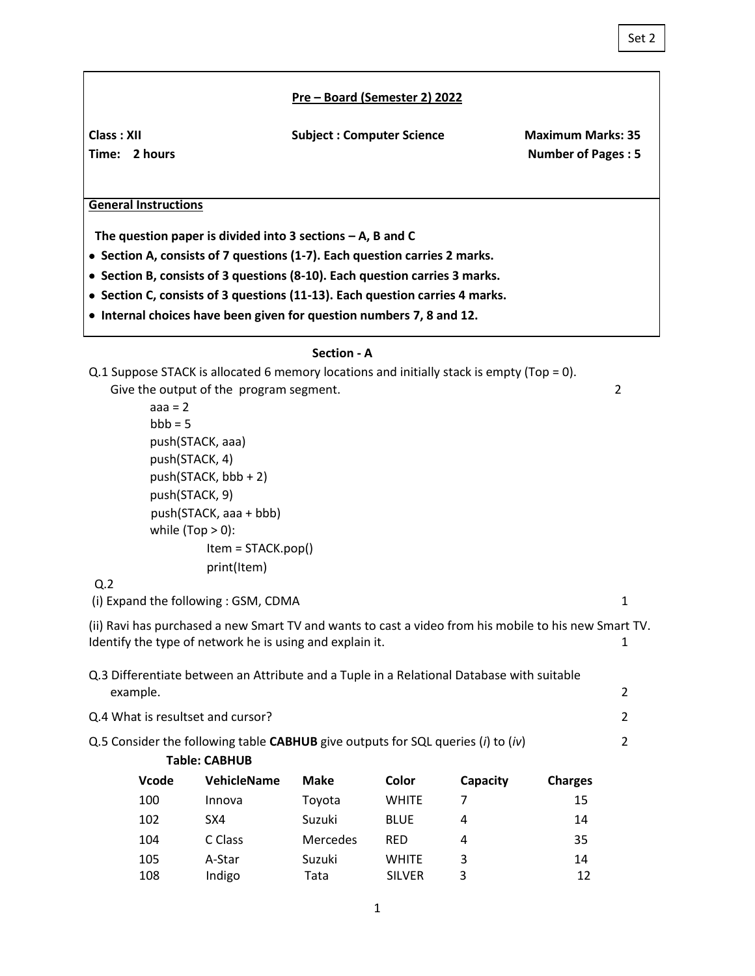### Set 2

#### **Pre – Board (Semester 2) 2022**

Class : XII **Class : XII** Subject : Computer Science Maximum Marks: 35

Time: 2 hours **Number of Pages : 5** 

### **General Instructions**

 **The question paper is divided into 3 sections – A, B and C**

• **Section A, consists of 7 questions (1-7). Each question carries 2 marks.**

• **Section B, consists of 3 questions (8-10). Each question carries 3 marks.**

- • **Section C, consists of 3 questions (11-13). Each question carries 4 marks.**
- • **Internal choices have been given for question numbers 7, 8 and 12.**

#### **Section - A**

|                                                                                  |                     | Q.1 Suppose STACK is allocated 6 memory locations and initially stack is empty (Top = 0).             |             |               |          |                |                |
|----------------------------------------------------------------------------------|---------------------|-------------------------------------------------------------------------------------------------------|-------------|---------------|----------|----------------|----------------|
|                                                                                  |                     | Give the output of the program segment.                                                               |             |               |          |                | $\overline{2}$ |
|                                                                                  | $aaa = 2$           |                                                                                                       |             |               |          |                |                |
|                                                                                  | $bbb = 5$           |                                                                                                       |             |               |          |                |                |
|                                                                                  | push(STACK, aaa)    |                                                                                                       |             |               |          |                |                |
|                                                                                  | push(STACK, 4)      |                                                                                                       |             |               |          |                |                |
|                                                                                  |                     | push(STACK, bbb + 2)                                                                                  |             |               |          |                |                |
|                                                                                  | push(STACK, 9)      |                                                                                                       |             |               |          |                |                |
|                                                                                  |                     | push(STACK, aaa + bbb)                                                                                |             |               |          |                |                |
|                                                                                  | while $(Top > 0)$ : |                                                                                                       |             |               |          |                |                |
|                                                                                  |                     | Item = STACK.pop()                                                                                    |             |               |          |                |                |
|                                                                                  |                     | print(Item)                                                                                           |             |               |          |                |                |
| Q.2                                                                              |                     |                                                                                                       |             |               |          |                |                |
|                                                                                  |                     | (i) Expand the following: GSM, CDMA                                                                   |             |               |          |                | $\mathbf{1}$   |
|                                                                                  |                     | (ii) Ravi has purchased a new Smart TV and wants to cast a video from his mobile to his new Smart TV. |             |               |          |                |                |
| Identify the type of network he is using and explain it.                         |                     |                                                                                                       |             |               |          | $\mathbf{1}$   |                |
|                                                                                  |                     |                                                                                                       |             |               |          |                |                |
|                                                                                  |                     | Q.3 Differentiate between an Attribute and a Tuple in a Relational Database with suitable             |             |               |          |                |                |
| example.                                                                         |                     |                                                                                                       |             |               | 2        |                |                |
| Q.4 What is resultset and cursor?                                                |                     |                                                                                                       |             |               | 2        |                |                |
| Q.5 Consider the following table CABHUB give outputs for SQL queries (i) to (iv) |                     |                                                                                                       |             |               |          | 2              |                |
|                                                                                  |                     | <b>Table: CABHUB</b>                                                                                  |             |               |          |                |                |
|                                                                                  | Vcode               | VehicleName                                                                                           | <b>Make</b> | Color         | Capacity | <b>Charges</b> |                |
|                                                                                  | 100                 | Innova                                                                                                | Toyota      | <b>WHITE</b>  | 7        | 15             |                |
|                                                                                  | 102                 | SX4                                                                                                   | Suzuki      | <b>BLUE</b>   | 4        | 14             |                |
|                                                                                  | 104                 | C Class                                                                                               | Mercedes    | <b>RED</b>    | 4        | 35             |                |
|                                                                                  | 105                 | A-Star                                                                                                | Suzuki      | <b>WHITE</b>  | 3        | 14             |                |
|                                                                                  | 108                 | Indigo                                                                                                | Tata        | <b>SILVER</b> | 3        | 12             |                |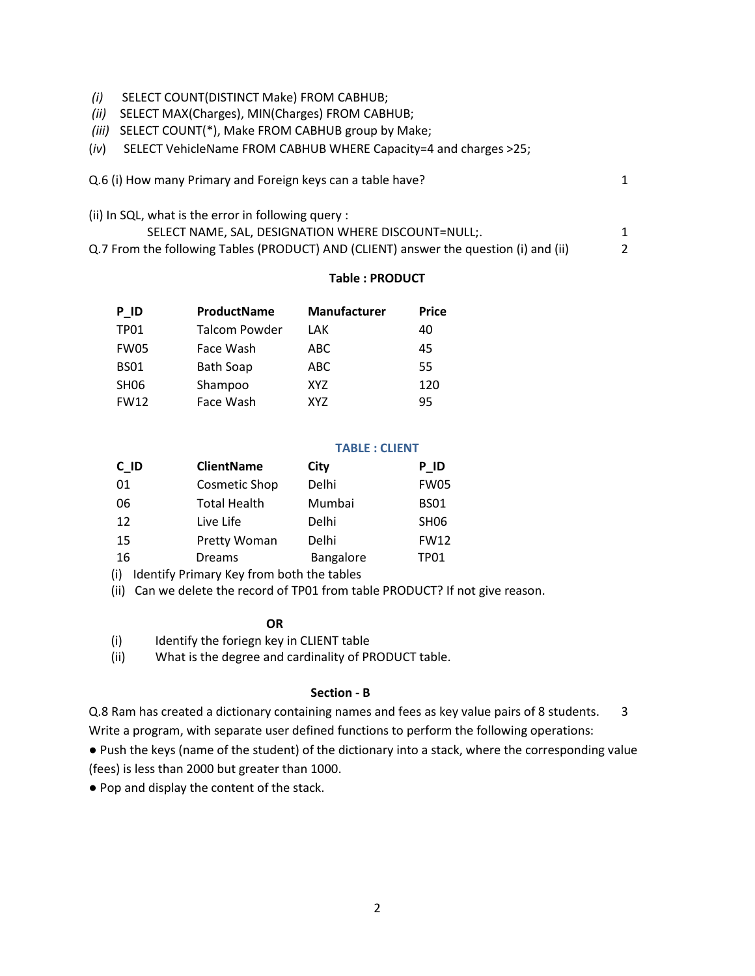- *(i)* SELECT COUNT(DISTINCT Make) FROM CABHUB;
- *(ii)* SELECT MAX(Charges), MIN(Charges) FROM CABHUB;
- *(iii)* SELECT COUNT(\*), Make FROM CABHUB group by Make;
- (*iv*) SELECT VehicleName FROM CABHUB WHERE Capacity=4 and charges >25;

| Q.6 (i) How many Primary and Foreign keys can a table have? |  |
|-------------------------------------------------------------|--|
|-------------------------------------------------------------|--|

(ii) In SQL, what is the error in following query : SELECT NAME, SAL, DESIGNATION WHERE DISCOUNT=NULL;. 1 1 Q.7 From the following Tables (PRODUCT) AND (CLIENT) answer the question (i) and (ii) 2

## **Table : PRODUCT**

| P ID             | ProductName      | <b>Manufacturer</b> | <b>Price</b> |
|------------------|------------------|---------------------|--------------|
| <b>TP01</b>      | Talcom Powder    | LAK                 | 40           |
| <b>FW05</b>      | Face Wash        | ABC.                | 45           |
| <b>BS01</b>      | <b>Bath Soap</b> | ABC                 | 55           |
| SH <sub>06</sub> | Shampoo          | XY7                 | 120          |
| <b>FW12</b>      | Face Wash        | XY7                 | 95           |

# **TABLE : CLIENT**

| $C$ $ID$ | <b>ClientName</b>   | City      | P ID             |
|----------|---------------------|-----------|------------------|
| 01       | Cosmetic Shop       | Delhi     | <b>FW05</b>      |
| 06       | <b>Total Health</b> | Mumbai    | <b>BS01</b>      |
| 12       | Live Life           | Delhi     | SH <sub>06</sub> |
| 15       | Pretty Woman        | Delhi     | <b>FW12</b>      |
| 16       | <b>Dreams</b>       | Bangalore | TP01             |

(i) Identify Primary Key from both the tables

(ii) Can we delete the record of TP01 from table PRODUCT? If not give reason.

**OR**

(i) Identify the foriegn key in CLIENT table

(ii) What is the degree and cardinality of PRODUCT table.

## **Section - B**

Q.8 Ram has created a dictionary containing names and fees as key value pairs of 8 students. 3

Write a program, with separate user defined functions to perform the following operations:

● Push the keys (name of the student) of the dictionary into a stack, where the corresponding value (fees) is less than 2000 but greater than 1000.

● Pop and display the content of the stack.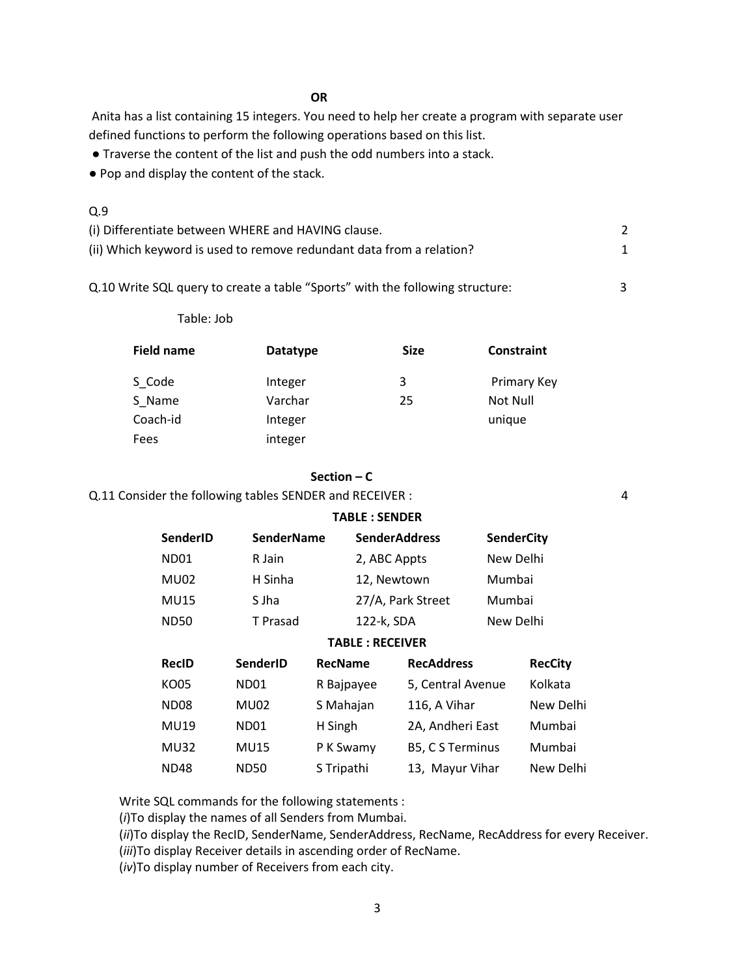#### **OR**

Anita has a list containing 15 integers. You need to help her create a program with separate user defined functions to perform the following operations based on this list.

● Traverse the content of the list and push the odd numbers into a stack.

● Pop and display the content of the stack.

## Q.9

| (i) Differentiate between WHERE and HAVING clause.                   |  |
|----------------------------------------------------------------------|--|
| (ii) Which keyword is used to remove redundant data from a relation? |  |

Q.10 Write SQL query to create a table "Sports" with the following structure: 3

Table: Job

| <b>Datatype</b> | <b>Size</b> | <b>Constraint</b> |
|-----------------|-------------|-------------------|
| Integer         | 3           | Primary Key       |
| Varchar         | 25          | Not Null          |
| Integer         |             | unique            |
| integer         |             |                   |
|                 |             |                   |

### **Section – C**

Q.11 Consider the following tables SENDER and RECEIVER : 4

| <b>TABLE: SENDER</b>   |                   |                |              |                         |                   |                |
|------------------------|-------------------|----------------|--------------|-------------------------|-------------------|----------------|
| SenderID               | <b>SenderName</b> |                |              | <b>SenderAddress</b>    | <b>SenderCity</b> |                |
| ND <sub>01</sub>       | R Jain            |                | 2, ABC Appts |                         | New Delhi         |                |
| MU02                   | H Sinha           |                | 12, Newtown  |                         | Mumbai            |                |
| <b>MU15</b>            | S Jha             |                |              | 27/A, Park Street       | Mumbai            |                |
| <b>ND50</b>            | T Prasad          |                | 122-k, SDA   |                         | New Delhi         |                |
| <b>TABLE: RECEIVER</b> |                   |                |              |                         |                   |                |
| <b>RecID</b>           | SenderID          | <b>RecName</b> |              | <b>RecAddress</b>       |                   | <b>RecCity</b> |
| KO05                   | ND01              | R Bajpayee     |              | 5, Central Avenue       |                   | Kolkata        |
| ND <sub>08</sub>       | MU02              | S Mahajan      |              | 116, A Vihar            |                   | New Delhi      |
| MU19                   | ND01              | H Singh        |              | 2A, Andheri East        |                   | Mumbai         |
| <b>MU32</b>            | <b>MU15</b>       | P K Swamy      |              | <b>B5, C S Terminus</b> |                   | Mumbai         |
| ND48                   | <b>ND50</b>       | S Tripathi     |              | 13, Mayur Vihar         |                   | New Delhi      |

Write SQL commands for the following statements :

(*i*)To display the names of all Senders from Mumbai.

(*ii*)To display the RecID, SenderName, SenderAddress, RecName, RecAddress for every Receiver.

(*iii*)To display Receiver details in ascending order of RecName.

(*iv*)To display number of Receivers from each city.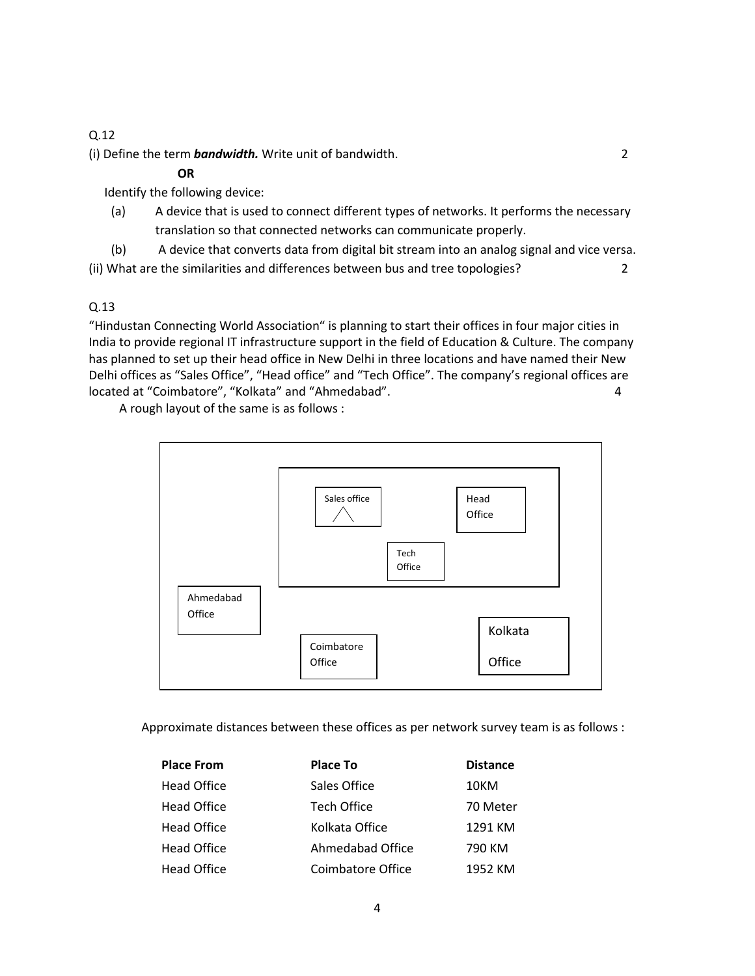# Q.12

(i) Define the term *bandwidth.* Write unit of bandwidth. 2

## **OR**

Identify the following device:

(a) A device that is used to connect different types of networks. It performs the necessary translation so that connected networks can communicate properly.

(b) A device that converts data from digital bit stream into an analog signal and vice versa. (ii) What are the similarities and differences between bus and tree topologies? 2

## Q.13

"Hindustan Connecting World Association" is planning to start their offices in four major cities in India to provide regional IT infrastructure support in the field of Education & Culture. The company has planned to set up their head office in New Delhi in three locations and have named their New Delhi offices as "Sales Office", "Head office" and "Tech Office". The company's regional offices are located at "Coimbatore", "Kolkata" and "Ahmedabad". 4

A rough layout of the same is as follows :



Approximate distances between these offices as per network survey team is as follows :

| <b>Place From</b>  | Place To           | <b>Distance</b> |
|--------------------|--------------------|-----------------|
| <b>Head Office</b> | Sales Office       | 10KM            |
| <b>Head Office</b> | <b>Tech Office</b> | 70 Meter        |
| <b>Head Office</b> | Kolkata Office     | 1291 KM         |
| <b>Head Office</b> | Ahmedabad Office   | 790 KM          |
| <b>Head Office</b> | Coimbatore Office  | 1952 KM         |